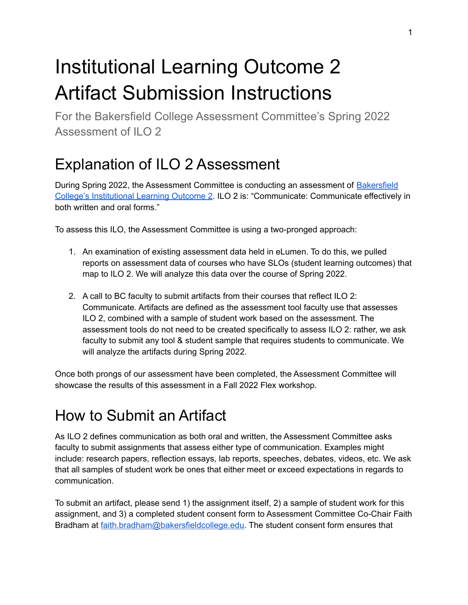# Institutional Learning Outcome 2 Artifact Submission Instructions

For the Bakersfield College Assessment Committee's Spring 2022 Assessment of ILO 2

## Explanation of ILO 2 Assessment

During Spring 2022, the Assessment Committee is conducting an assessment of **[Bakersfield](https://committees.kccd.edu/sites/committees.kccd.edu/files/BC-ILOs-and-GELOs_2020-21.pdf)** College's [Institutional](https://committees.kccd.edu/sites/committees.kccd.edu/files/BC-ILOs-and-GELOs_2020-21.pdf) Learning Outcome 2. ILO 2 is: "Communicate: Communicate effectively in both written and oral forms."

To assess this ILO, the Assessment Committee is using a two-pronged approach:

- 1. An examination of existing assessment data held in eLumen. To do this, we pulled reports on assessment data of courses who have SLOs (student learning outcomes) that map to ILO 2. We will analyze this data over the course of Spring 2022.
- 2. A call to BC faculty to submit artifacts from their courses that reflect ILO 2: Communicate. Artifacts are defined as the assessment tool faculty use that assesses ILO 2, combined with a sample of student work based on the assessment. The assessment tools do not need to be created specifically to assess ILO 2: rather, we ask faculty to submit any tool & student sample that requires students to communicate. We will analyze the artifacts during Spring 2022.

Once both prongs of our assessment have been completed, the Assessment Committee will showcase the results of this assessment in a Fall 2022 Flex workshop.

## How to Submit an Artifact

As ILO 2 defines communication as both oral and written, the Assessment Committee asks faculty to submit assignments that assess either type of communication. Examples might include: research papers, reflection essays, lab reports, speeches, debates, videos, etc. We ask that all samples of student work be ones that either meet or exceed expectations in regards to communication.

To submit an artifact, please send 1) the assignment itself, 2) a sample of student work for this assignment, and 3) a completed student consent form to Assessment Committee Co-Chair Faith Bradham at [faith.bradham@bakersfieldcollege.edu.](mailto:faith.bradham@bakersfieldcollege.edu) The student consent form ensures that